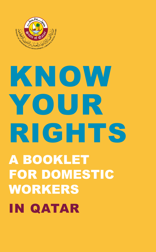

# KNOW YOUR RIGHTS A BOOKLET FOR DOMESTIC WORKERS IN QATAR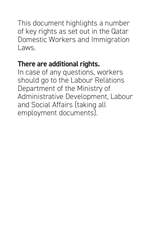This document highlights a number of key rights as set out in the Qatar Domestic Workers and Immigration Laws.

## **There are additional rights.**

In case of any questions, workers should go to the Labour Relations Department of the Ministry of Administrative Development, Labour and Social Affairs (taking all employment documents).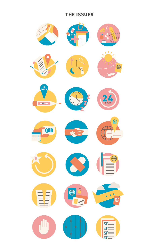#### **THE ISSUES**

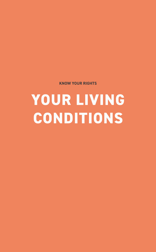**KNOW YOUR RIGHTS** 

## **YOUR LIVING CONDITIONS**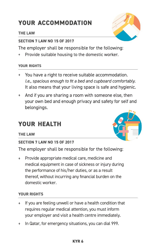## **YOUR ACCOMMODATION**

#### THE LAW

#### **SECTION 7 LAW NO 15 OF 2017**

The employer shall be responsible for the following:

Provide suitable housing to the domestic worker.

#### **YOUR RIGHTS**

- You have a right to receive suitable accommodation.  $+$ I.e., spacious enough to fit a bed and cupboard comfortably. It also means that your living space is safe and hygienic.
- And if you are sharing a room with someone else, then  $+$ your own bed and enough privacy and safety for self and belongings.

## **YOUR HEALTH**

THE LAW

#### **SECTION 7 LAW NO 15 OF 2017**

The employer shall be responsible for the following:

+ Provide appropriate medical care, medicine and medical equipment in case of sickness or injury during the performance of his/her duties, or as a result thereof, without incurring any financial burden on the domestic worker

- If you are feeling unwell or have a health condition that  $+$ requires regular medical attention, you must inform your employer and visit a health centre immediately.
- In Qatar, for emergency situations, you can dial 999.  $+$



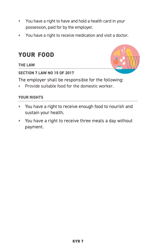- You have a right to have and hold a health card in your  $+$ possession, paid for by the employer.
- You have a right to receive medication and visit a doctor.

## **YOUR FOOD**

**THE LAW** 

#### **SECTION 7 LAW NO 15 OF 2017**



The employer shall be responsible for the following:

Provide suitable food for the domestic worker.

- You have a right to receive enough food to nourish and  $+$ sustain your health.
- + You have a right to receive three meals a day without payment.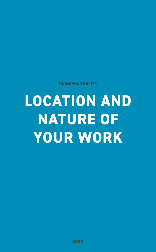**KNOW YOUR RIGHTS** 

## **LOCATION AND NATURE OF YOUR WORK**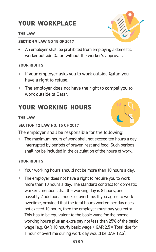## **YOUR WORKPLACE**

#### **THE LAW**

#### **SECTION 9 LAW NO 15 OF 2017**

An employer shall be prohibited from employing a domestic worker outside Qatar, without the worker's approval.

#### **YOUR RIGHTS**

- $\ddot{+}$ If your employer asks you to work outside Qatar, you have a right to refuse.
- + The employer does not have the right to compel you to work outside of Qatar.

## **YOUR WORKING HOURS**

#### **THE LAW**

#### **SECTION 12 LAW NO. 15 OF 2017**

The employer shall be responsible for the following:

The maximum hours of work shall not exceed ten hours a day interrupted by periods of prayer, rest and food. Such periods shall not be included in the calculation of the hours of work.

- Your working hours should not be more than 10 hours a day.
- The employer does not have a right to require you to work more than 10 hours a day. The standard contract for domestic workers mentions that the working day is 8 hours, and possibly 2 additional hours of overtime. If you agree to work overtime, provided that the total hours worked per day does not exceed 10 hours, then the employer must pay you extra. This has to be equivalent to the basic wage for the normal working hours plus an extra pay not less than 25% of the basic wage [e.g. QAR 10 hourly basic wage + QAR 2.5 = Total due for 1 hour of overtime during work day would be QAR 12.5].



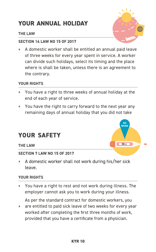## **YOUR ANNUAL HOLIDAY**

#### **THE LAW**

#### **SECTION 14 LAW NO 15 OF 2017**

A domestic worker shall be entitled an annual paid leave of three weeks for every year spent in service. A worker can divide such holidays, select its timing and the place where is shall be taken, unless there is an agreement to the contrary.

#### YOUR RIGHTS

- You have a right to three weeks of annual holiday at the  $+$ end of each year of service.
- You have the right to carry forward to the next year any  $+$ remaining days of annual holiday that you did not take

### **YOUR SAFETY**

#### **THE LAW**

#### **SECTION 7 LAW NO 15 OF 2017**

A domestic worker shall not work during his/her sick leave.

38 C

N<sub>0</sub> **WORK** 

#### **YOUR RIGHTS**

You have a right to rest and not work during illness. The  $+$ employer cannot ask you to work during your illness.

As per the standard contract for domestic workers, you

are entitled to paid sick leave of two weeks for every year worked after completing the first three months of work, provided that you have a certificate from a physician.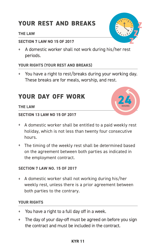## **YOUR REST AND BREAKS**

#### THE LAW

#### **SECTION 7 LAW NO 15 OF 2017**

+ A domestic worker shall not work during his/her rest periods.

#### YOUR RIGHTS (YOUR REST AND BREAKS)

+ You have a right to rest/breaks during your working day. These breaks are for meals, worship, and rest.

### **YOUR DAY OFF WORK**



#### **THE LAW**

#### **SECTION 13 LAW NO 15 OF 2017**

- + A domestic worker shall be entitled to a paid weekly rest holiday, which is not less than twenty four consecutive hours.
- + The timing of the weekly rest shall be determined based on the agreement between both parties as indicated in the employment contract.

#### **SECTION 7 LAW NO. 15 OF 2017**

+ A domestic worker shall not working during his/her weekly rest, unless there is a prior agreement between both parties to the contrary.

#### **YOUR RIGHTS**

- + You have a right to a full day off in a week.
- The day of your day-off must be agreed on before you sign  $+$ the contract and must be included in the contract.

#### **KYR 11**

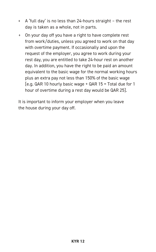- A 'full day' is no less than 24-hours straight the rest day is taken as a whole, not in parts.
- On your day off you have a right to have complete rest from work/duties, unless you agreed to work on that day with overtime payment. If occasionally and upon the request of the employer, you agree to work during your rest day, you are entitled to take 24-hour rest on another day. In addition, you have the right to be paid an amount equivalent to the basic wage for the normal working hours plus an extra pay not less than 150% of the basic wage [e.g. QAR 10 hourly basic wage + QAR 15 = Total due for 1 hour of overtime during a rest day would be QAR 25].

It is important to inform your employer when you leave the house during your day off.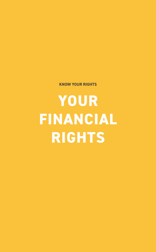**KNOW YOUR RIGHTS** 

YOUR **FINANCIAL RIGHTS**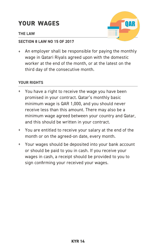## **YOUR WAGES**

#### **THE LAW**



#### SECTION 8 LAW NO 15 OF 2017

An employer shall be responsible for paying the monthly wage in Qatari Riyals agreed upon with the domestic worker at the end of the month, or at the latest on the third day of the consecutive month.

- You have a right to receive the wage you have been promised in your contract. Qatar's monthly basic minimum wage is QAR 1,000, and you should never receive less than this amount. There may also be a minimum wage agreed between your country and Qatar, and this should be written in your contract.
- You are entitled to receive your salary at the end of the month or on the agreed-on date, every month.
- Your wages should be deposited into your bank account or should be paid to you in cash. If you receive your wages in cash, a receipt should be provided to you to sign confirming your received your wages.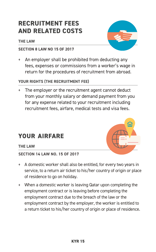## **RECRUITMENT FEES AND RELATED COSTS**

#### **THE LAW**

#### **SECTION 8 LAW NO 15 OF 2017**

An employer shall be prohibited from deducting any fees, expenses or commissions from a worker's wage in return for the procedures of recruitment from abroad.

#### **YOUR RIGHTS (THE RECRUITMENT FEE)**

The employer or the recruitment agent cannot deduct  $+$ from your monthly salary or demand payment from you for any expense related to your recruitment including recruitment fees, airfare, medical tests and visa fees.

### **YOUR AIRFARE**

#### THE LAW

#### **SECTION 14 LAW NO. 15 OF 2017**

- A domestic worker shall also be entitled, for every two years in service, to a return air ticket to his/her country of origin or place of residence to go on holiday.
- When a domestic worker is leaving Qatar upon completing the employment contract or is leaving before completing the employment contract due to the breach of the law or the employment contract by the employer, the worker is entitled to a return ticket to his/her country of origin or place of residence.



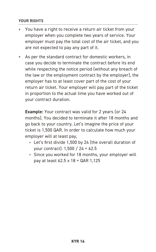#### **YOUR RIGHTS**

- You have a right to receive a return air ticket from your  $+$ employer when you complete two years of service. Your employer must pay the total cost of the air ticket, and you are not expected to pay any part of it.
- As per the standard contract for domestic workers, in case you decide to terminate the contract before its end while respecting the notice period (without any breach of the law or the employment contract by the employer), the employer has to at least cover part of the cost of your return air ticket. Your employer will pay part of the ticket in proportion to the actual time you have worked out of your contract duration.

**Example:** Your contract was valid for 2 years (or 24 months). You decided to terminate it after 18 months and go back to your country. Let's imagine the price of your ticket is 1,500 QAR. In order to calculate how much your employer will at least pay,

- Let's first divide 1,500 by 24 (the overall duration of your contract): 1,500 / 24 = 62.5
- Since you worked for 18 months, your employer will pay at least 62.5 x 18 = QAR 1,125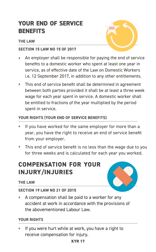## **YOUR END OF SERVICE BENEFITS**

#### **THE LAW**



#### **SECTION 15 LAW NO 15 OF 2017**

- An employer shall be responsible for paying the end of service  $+$ benefits to a domestic worker who spent at least one year in service, as of effective date of the Law on Domestic Workers i.e. 12 September 2017, in addition to any other entitlements.
- This end of service benefit shall be determined in agreement between both parties provided it shall be at least a three week wage for each year spent in service. A domestic worker shall be entitled to fractions of the year multiplied by the period spent in service.

#### YOUR RIGHTS (YOUR END OF SERVICE BENEFITS)

- If you have worked for the same employer for more than a  $+$ year, you have the right to receive an end of service benefit from your employer.
- This end of service benefit is no less than the wage due to you for three weeks and is calculated for each year you worked.

## **COMPENSATION FOR YOUR INJURY/INJURIES**

#### **THE LAW**



#### **SECTION 19 LAW NO 21 OF 2015**

+ A compensation shall be paid to a worker for any accident at work in accordance with the provisions of the abovementioned Labour Law.

#### **YOUR RIGHTS**

If you were hurt while at work, you have a right to  $+$ receive compensation for injury.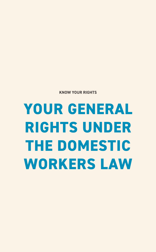## **YOUR GENERAL RIGHTS UNDER THE DOMESTIC WORKERS LAW**

**KNOW YOUR RIGHTS**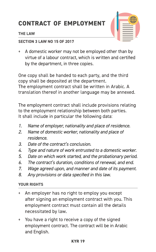## **CONTRACT OF EMPLOYMENT**

#### **THE LAW**



#### **SECTION 3 LAW NO 15 OF 2017**

A domestic worker may not be employed other than by  $\ddot{}$ virtue of a labour contract, which is written and certified by the department, in three copies.

One copy shall be handed to each party, and the third copy shall be deposited at the department. The employment contract shall be written in Arabic. A translation thereof in another language may be annexed.

The employment contract shall include provisions relating to the employment relationship between both parties. It shall include in particular the following data:

- Name of employer, nationality and place of residence. 1.
- Name of domestic worker, nationality and place of  $\overline{2}$ . residence.
- 3. Date of the contract's conclusion.
- Type and nature of work entrusted to a domestic worker. 4.
- 5. Date on which work started, and the probationary period.
- 6. The contract's duration, conditions of renewal, and end.
- Wage agreed upon, and manner and date of its payment. 7.
- 8. Any provisions or data specified in this law.

- An employer has no right to employ you except  $+$ after signing an employment contract with you. This employment contract must contain all the details necessitated by law.
- You have a right to receive a copy of the signed  $+$ employment contract. The contract will be in Arabic and English.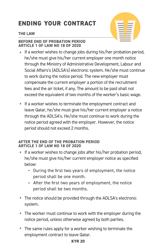## **ENDING YOUR CONTRACT**

#### **THE LAW**



#### **BEFORE END OF PROBATION PERIOD ARTICLE 1 OF LAW NO 18 OF 2020**

- $+$  If a worker wishes to change jobs during his/her probation period, he/she must give his/her current employer one month notice through the Ministry of Administrative Development, Labour and Social Affairs's (ADLSA's) electronic system. He/she must continue to work during the notice period. The new employer must compensate the current employer a portion of the recruitment fees and the air ticket, if any. The amount to be paid shall not exceed the equivalent of two months of the worker's basic wage.
- If a worker wishes to terminate the employment contract and leave Qatar, he/she must give his/her current employer a notice through the ADLSA's. He/she must continue to work during the notice period agreed with the employer. However, the notice period should not exceed 2 months.

#### **AFTER THE END OF THE PROBATION PERIOD ARTICLE 1 OF LAW NO 18 OF 2020**

- + If a worker wishes to change jobs after his/her probation period, he/she must give his/her current employer notice as specified below:
	- During the first two years of employment, the notice period shall be one month.
	- After the first two years of employment, the notice period shall be two months.
- The notice should be provided through the ADLSA's electronic system.
- The worker must continue to work with the employer during the notice period, unless otherwise agreed by both parties.
- The same rules apply for a worker wishing to terminate the employment contract to leave Qatar.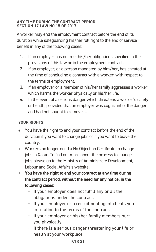#### **ANY TIME DURING THE CONTRACT PERIOD SECTION 17 LAW NO 15 OF 2017**

A worker may end the employment contract before the end of its duration while safeguarding his/her full right to the end of service benefit in any of the following cases:

- 1. If an employer has not met his/her obligations specified in the provisions of this law or in the employment contract.
- 2. If an employer, or a person mandated by him/her, has cheated at the time of concluding a contract with a worker, with respect to the terms of employment.
- 3. If an employer or a member of his/her family aggresses a worker, which harms the worker physically or his/her life.
- 4. In the event of a serious danger which threatens a worker's safety or health, provided that an employer was cognizant of the danger, and had not sought to remove it.

#### **YOUR RIGHTS**

- You have the right to end your contract before the end of the duration if you want to change jobs or if you want to leave the country.
- Workers no longer need a No Objection Certificate to change jobs in Qatar. To find out more about the process to change jobs please go to the Ministry of Administrate Development, Labour and Social Affairs's website.
- **You have the right to end your contract at any time during the contract period, without the need for any notice, in the following cases:** 
	- If your employer does not fulfill any or all the obligations under the contract.
	- If your employer or a recruitment agent cheats you in relation to the terms of the contract.
	- If your employer or his/her family members hurt you physically.
	- If there is a serious danger threatening your life or health at your workplace.

#### **KYR 21**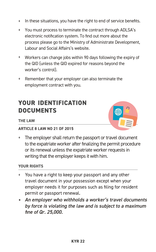- + In these situations, you have the right to end of service benefits.
- You must process to terminate the contract through ADLSA's electronic notification system. To find out more about the process please go to the Ministry of Administrate Development, Labour and Social Affairs's website.
- Workers can change jobs within 90 days following the expiry of the QID (unless the QID expired for reasons beyond the worker's control).
- Remember that your employer can also terminate the employment contract with you.

## **YOUR IDENTIFICATION DOCUMENTS**



#### THE LAW

#### **ARTICLE 8 LAW NO 21 OF 2015**

The employer shall return the passport or travel document to the expatriate worker after finalizing the permit procedure or its renewal unless the expatriate worker requests in writing that the employer keeps it with him.

- + You have a right to keep your passport and any other travel document in your possession except when your employer needs it for purposes such as filing for resident permit or passport renewal.
- *An employer who withholds a worker's travel documents by force is violating the law and is subject to a maximum fine of Qr. 25,000.*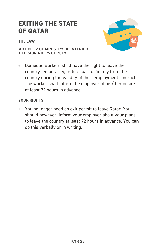## **EXITING THE STATE OF QATAR**

#### THE LAW



#### **ARTICLE 2 OF MINISTRY OF INTERIOR DECISION NO. 95 OF 2019**

Domestic workers shall have the right to leave the country temporarily, or to depart definitely from the country during the validity of their employment contract. The worker shall inform the employer of his/ her desire at least 72 hours in advance.

#### **YOUR RIGHTS**

You no longer need an exit permit to leave Qatar. You  $+$ should however, inform your employer about your plans to leave the country at least 72 hours in advance. You can do this verbally or in writing.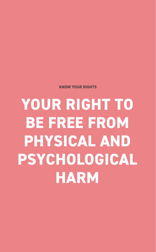**KNOW YOUR RIGHTS** 

**YOUR RIGHT TO BE FREE FROM PHYSICAL AND PSYCHOLOGICAL HARM**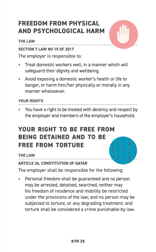## **FREEDOM FROM PHYSICAL AND PSYCHOLOGICAL HARM**

#### **THE LAW**

#### **SECTION 7 LAW NO 15 OF 2017**

The employer is responsible to:

- Treat domestic workers well, in a manner which will  $+$ safequard their dignity and wellbeing.
- Avoid exposing a domestic worker's health or life to  $\ddot{}$ danger, or harm him/her physically or morally in any manner whatsoever.

#### **YOUR RIGHTS**

You have a right to be treated with decency and respect by  $+$ the employer and members of the employer's household.

## **YOUR RIGHT TO BE FREE FROM BEING DETAINED AND TO BE FREE FROM TORTURE**

#### THE LAW

#### **ARTICLE 36, CONSTITUTION OF QATAR**

The employer shall be responsible for the following:

Personal freedom shall be quaranteed and no person  $+$ may be arrested, detained, searched, neither may his freedom of residence and mobility be restricted under the provisions of the law; and no person may be subjected to torture, or any degrading treatment; and torture shall be considered a crime punishable by law.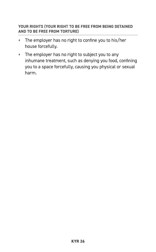#### YOUR RIGHTS (YOUR RIGHT TO BE FREE FROM BEING DETAINED AND TO BE FREE FROM TORTURE)

- + The employer has no right to confine you to his/her house forcefully.
- + The employer has no right to subject you to any inhumane treatment, such as denying you food, confining you to a space forcefully, causing you physical or sexual harm.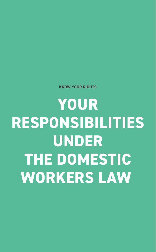**YOUR RESPONSIBILITIES UNDER THE DOMESTIC WORKERS LAW** 

**KNOW YOUR RIGHTS**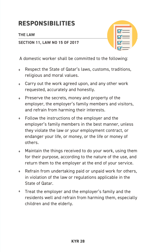## **RESPONSIBILITIES**

#### **THE LAW**

#### **SECTION 11, LAW NO 15 OF 2017**



A domestic worker shall be committed to the following:

- Respect the State of Qatar's laws, customs, traditions,  $\ddot{+}$ religious and moral values.
- Carry out the work agreed upon, and any other work  $+$ requested, accurately and honestly.
- Preserve the secrets, money and property of the employer, the employer's family members and visitors, and refrain from harming their interests.
- Follow the instructions of the employer and the employer's family members in the best manner, unless they violate the law or your employment contract, or endanger your life, or money, or the life or money of others.
- Maintain the things received to do your work, using them for their purpose, according to the nature of the use, and return them to the employer at the end of your service.
- Refrain from undertaking paid or unpaid work for others,  $+$ in violation of the law or regulations applicable in the State of Qatar.
- Treat the employer and the employer's family and the residents well and refrain from harming them, especially children and the elderly.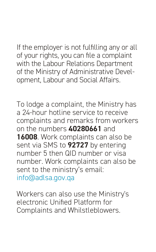If the employer is not fulfilling any or all of your rights, you can file a complaint with the Labour Relations Department of the Ministry of Administrative Development, Labour and Social Affairs.

To lodge a complaint, the Ministry has a 24-hour hotline service to receive complaints and remarks from workers on the numbers **40280661** and **16008**. Work complaints can also be sent via SMS to **92727** by entering number 5 then QID number or visa number. Work complaints can also be sent to the ministry's email: info@adlsa.gov.qa

Workers can also use the Ministry's electronic Unified Platform for Complaints and Whilstleblowers.